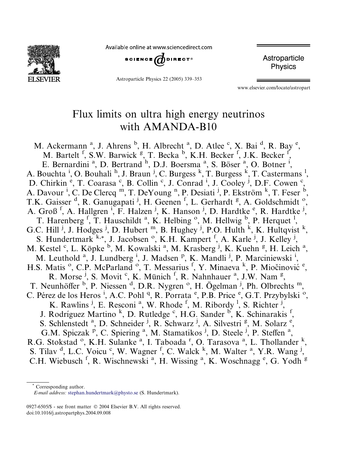

Available online at www.sciencedirect.com



Astroparticle Physics 22 (2005) 339–353

Astroparticle **Physics** 

www.elsevier.com/locate/astropart

# Flux limits on ultra high energy neutrinos with AMANDA-B10

M. Ackermann<sup>a</sup>, J. Ahrens<sup>b</sup>, H. Albrecht<sup>a</sup>, D. Atlee<sup>c</sup>, X. Bai<sup>d</sup>, R. Bay<sup>e</sup>, M. Bartelt <sup>f</sup>, S.W. Barwick <sup>g</sup>, T. Becka <sup>b</sup>, K.H. Becker <sup>f</sup>, J.K. Becker <sup>f</sup>, E. Bernardini<sup>a</sup>, D. Bertrand<sup>h</sup>, D.J. Boersma<sup>a</sup>, S. Böser<sup>a</sup>, O. Botner<sup>i</sup>, A. Bouchta <sup>i</sup>, O. Bouhali <sup>h</sup>, J. Braun <sup>j</sup>, C. Burgess <sup>k</sup>, T. Burgess <sup>k</sup>, T. Castermans <sup>1</sup>, D. Chirkin<sup>e</sup>, T. Coarasa<sup>c</sup>, B. Collin<sup>c</sup>, J. Conrad<sup>i</sup>, J. Cooley<sup>j</sup>, D.F. Cowen<sup>c</sup>, A. Davour <sup>i</sup>, C. De Clercq <sup>m</sup>, T. DeYoung <sup>n</sup>, P. Desiati <sup>j</sup>, P. Ekström <sup>k</sup>, T. Feser <sup>b</sup>, T.K. Gaisser <sup>d</sup>, R. Ganugapati <sup>j</sup>, H. Geenen <sup>f</sup>, L. Gerhardt <sup>g</sup>, A. Goldschmidt <sup>o</sup>, A. Groß<sup>f</sup>, A. Hallgren<sup>i</sup>, F. Halzen<sup>j</sup>, K. Hanson<sup>j</sup>, D. Hardtke<sup>e</sup>, R. Hardtke<sup>j</sup>, T. Harenberg <sup>f</sup>, T. Hauschildt <sup>a</sup>, K. Helbing <sup>o</sup>, M. Hellwig <sup>b</sup>, P. Herquet <sup>1</sup>, G.C. Hill <sup>j</sup>, J. Hodges <sup>j</sup>, D. Hubert <sup>m</sup>, B. Hughey <sup>j</sup>, P.O. Hulth <sup>k</sup>, K. Hultqvist <sup>k</sup>, S. Hundertmark k,\*, J. Jacobsen <sup>o</sup>, K.H. Kampert <sup>f</sup>, A. Karle <sup>j</sup>, J. Kelley <sup>j</sup>, M. Kestel <sup>c</sup>, L. Köpke <sup>b</sup>, M. Kowalski<sup>a</sup>, M. Krasberg<sup>j</sup>, K. Kuehn<sup>g</sup>, H. Leich<sup>a</sup>, M. Leuthold<sup>a</sup>, J. Lundberg<sup>i</sup>, J. Madsen<sup>p</sup>, K. Mandli<sup>j</sup>, P. Marciniewski<sup>i</sup>, H.S. Matis<sup>o</sup>, C.P. McParland<sup>o</sup>, T. Messarius<sup>f</sup>, Y. Minaeva<sup>k</sup>, P. Miočinović<sup>e</sup> , R. Morse <sup>j</sup>, S. Movit <sup>c</sup>, K. Münich <sup>f</sup>, R. Nahnhauer <sup>a</sup>, J.W. Nam <sup>g</sup>, T. Neunhöffer <sup>b</sup>, P. Niessen <sup>d</sup>, D.R. Nygren <sup>o</sup>, H. Ögelman <sup>j</sup>, Ph. Olbrechts <sup>m</sup>, C. Pérez de los Heros<sup>i</sup>, A.C. Pohl<sup>q</sup>, R. Porrata<sup>e</sup>, P.B. Price<sup>e</sup>, G.T. Przybylski<sup>o</sup>, K. Rawlins<sup>j</sup>, E. Resconi<sup>a</sup>, W. Rhode<sup>f</sup>, M. Ribordy<sup>1</sup>, S. Richter<sup>j</sup>, J. Rodríguez Martino<sup>k</sup>, D. Rutledge<sup>c</sup>, H.G. Sander<sup>b</sup>, K. Schinarakis<sup>f</sup>, S. Schlenstedt <sup>a</sup>, D. Schneider <sup>j</sup>, R. Schwarz <sup>j</sup>, A. Silvestri <sup>g</sup>, M. Solarz <sup>e</sup>, G.M. Spiczak <sup>p</sup>, C. Spiering <sup>a</sup>, M. Stamatikos <sup>j</sup>, D. Steele <sup>j</sup>, P. Steffen <sup>a</sup>, R.G. Stokstad<sup>o</sup>, K.H. Sulanke<sup>a</sup>, I. Taboada<sup>r</sup>, O. Tarasova<sup>a</sup>, L. Thollander<sup>k</sup>, S. Tilav <sup>d</sup>, L.C. Voicu <sup>c</sup>, W. Wagner <sup>f</sup>, C. Walck <sup>k</sup>, M. Walter <sup>a</sup>, Y.R. Wang <sup>j</sup>, C.H. Wiebusch <sup>f</sup>, R. Wischnewski<sup>a</sup>, H. Wissing<sup>a</sup>, K. Woschnagg<sup>e</sup>, G. Yodh<sup>g</sup>

Corresponding author.

E-mail address: [stephan.hundertmark@physto.se](mailto:stephan.hundertmark@physto.se ) (S. Hundertmark).

<sup>0927-6505/\$ -</sup> see front matter  $\odot$  2004 Elsevier B.V. All rights reserved. doi:10.1016/j.astropartphys.2004.09.008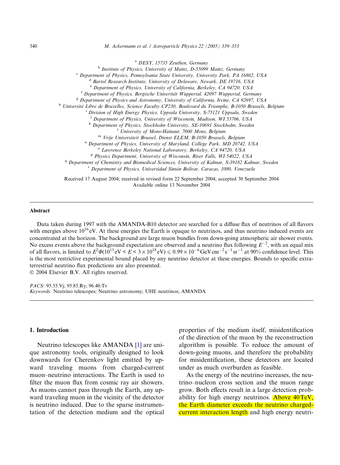<sup>a</sup> DESY, 15735 Zeuthen, Germany

<sup>b</sup> Institute of Physics, University of Mainz, D-55099 Mainz, Germany

 $c$  Department of Physics, Pennsylvania State University, University Park, PA 16802, USA

<sup>d</sup> Bartol Research Institute, University of Delaware, Newark, DE 19716, USA

<sup>e</sup> Department of Physics, University of California, Berkeley, CA 94720, USA

<sup>f</sup> Department of Physics, Bergische Univerität Wuppertal, 42097 Wuppertal, Germany <sup>g</sup> Department of Physics and Astronomy, University of California, Irvine, CA 92697, USA

<sup>h</sup> Université Libre de Bruxelles, Science Faculty CP230, Boulevard du Triomphe, B-1050 Brussels, Belgium

<sup>i</sup> Division of High Energy Physics, Uppsala University, S-75121 Uppsala, Sweden

 $j$  Department of Physics, University of Wisconsin, Madison, WI 53706, USA

<sup>k</sup> Department of Physics, Stockholm University, SE-10691 Stockholm, Sweden

<sup>1</sup> University of Mons-Hainaut, 7000 Mons, Belgium

<sup>m</sup> Vrije Universiteit Brussel, Dienst ELEM, B-1050 Brussels, Belgium

<sup>n</sup> Department of Physics, University of Maryland, College Park, MD 20742, USA

<sup>o</sup> Lawrence Berkeley National Laboratory, Berkeley, CA 94720, USA

<sup>p</sup> Physics Department, University of Wisconsin, River Falls, WI 54022, USA

<sup>q</sup> Department of Chemistry and Biomedical Sciences, University of Kalmar, S-39182 Kalmar, Sweden

<sup>r</sup> Department of Physics, Universidad Simón Bolívar, Caracas, 1080, Venezuela

Received 17 August 2004; received in revised form 22 September 2004; accepted 30 September 2004 Available online 13 November 2004

#### Abstract

Data taken during 1997 with the AMANDA-B10 detector are searched for a diffuse flux of neutrinos of all flavors with energies above  $10^{16}$  eV. At these energies the Earth is opaque to neutrinos, and thus neutrino induced events are concentrated at the horizon. The background are large muon bundles from down-going atmospheric air shower events. No excess events above the background expectation are observed and a neutrino flux following  $E^{-2}$ , with an equal mix of all flavors, is limited to  $E^2\Phi(10^{15} \text{eV} < E \leq 3 \times 10^{18} \text{eV}) \leq 0.99 \times 10^{-6} \text{GeV cm}^{-2} \text{s}^{-1} \text{sr}^{-1}$  at 90% confidence level. This is the most restrictive experimental bound placed by any neutrino detector at these energies. Bounds to specific extraterrestrial neutrino flux predictions are also presented.

2004 Elsevier B.V. All rights reserved.

PACS: 95.55.Vj; 95.85.Ry; 96.40.Tv Keywords: Neutrino telescopes; Neutrino astronomy; UHE neutrinos; AMANDA

### 1. Introduction

Neutrino telescopes like AMANDA [\[1\]](#page-14-0) are unique astronomy tools, originally designed to look downwards for Cherenkov light emitted by upward traveling muons from charged-current muon–neutrino interactions. The Earth is used to filter the muon flux from cosmic ray air showers. As muons cannot pass through the Earth, any upward traveling muon in the vicinity of the detector is neutrino induced. Due to the sparse instrumentation of the detection medium and the optical properties of the medium itself, misidentification of the direction of the muon by the reconstruction algorithm is possible. To reduce the amount of down-going muons, and therefore the probability for misidentification, these detectors are located under as much overburden as feasible.

As the energy of the neutrino increases, the neutrino–nucleon cross section and the muon range grow. Both effects result in a large detection probability for high energy neutrinos. Above 40TeV, the Earth diameter exceeds the neutrino chargedcurrent interaction length and high energy neutri-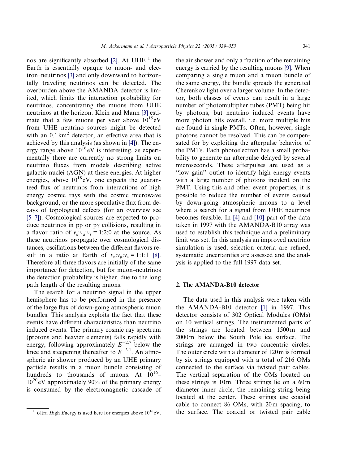nos are significantly absorbed [\[2\]](#page-14-0). At UHE  $<sup>1</sup>$  the</sup> Earth is essentially opaque to muon- and electron–neutrinos [\[3\]](#page-14-0) and only downward to horizontally traveling neutrinos can be detected. The overburden above the AMANDA detector is limited, which limits the interaction probability for neutrinos, concentrating the muons from UHE neutrinos at the horizon. Klein and Mann [\[3\]](#page-14-0) estimate that a few muons per year above  $10^{15}$  eV from UHE neutrino sources might be detected with an  $0.1 \text{ km}^2$  detector, an effective area that is achieved by this analysis (as shown in [\[4\]](#page-14-0)). The energy range above  $10^{16}$ eV is interesting, as experimentally there are currently no strong limits on neutrino fluxes from models describing active galactic nuclei (AGN) at these energies. At higher energies, above  $10^{18}$  eV, one expects the guaranteed flux of neutrinos from interactions of high energy cosmic rays with the cosmic microwave background, or the more speculative flux from decays of topological defects (for an overview see [\[5–7\]\)](#page-14-0). Cosmological sources are expected to produce neutrinos in pp or  $p\gamma$  collisions, resulting in a flavor ratio of  $v_e$ : $v_u$ : $v_\tau$  = 1:2:0 at the source. As these neutrinos propagate over cosmological distances, oscillations between the different flavors result in a ratio at Earth of  $v_e$ : $v_u$ : $v_\tau$  = 1:1:1 [\[8\]](#page-14-0). Therefore all three flavors are initially of the same importance for detection, but for muon–neutrinos the detection probability is higher, due to the long path length of the resulting muons.

The search for a neutrino signal in the upper hemisphere has to be performed in the presence of the large flux of down-going atmospheric muon bundles. This analysis exploits the fact that these events have different characteristics than neutrino induced events. The primary cosmic ray spectrum (protons and heavier elements) falls rapidly with energy, following approximately  $E^{-2.7}$  below the knee and steepening thereafter to  $E^{-3.1}$ . An atmospheric air shower produced by an UHE primary particle results in a muon bundle consisting of hundreds to thousands of muons. At  $10^{16}$ –  $10^{20}$  eV approximately 90% of the primary energy is consumed by the electromagnetic cascade of the air shower and only a fraction of the remaining energy is carried by the resulting muons [\[9\].](#page-14-0) When comparing a single muon and a muon bundle of the same energy, the bundle spreads the generated Cherenkov light over a larger volume. In the detector, both classes of events can result in a large number of photomultiplier tubes (PMT) being hit by photons, but neutrino induced events have more photon hits overall, i.e. more multiple hits are found in single PMTs. Often, however, single photons cannot be resolved. This can be compensated for by exploiting the afterpulse behavior of the PMTs. Each photoelectron has a small probability to generate an afterpulse delayed by several microseconds. These afterpulses are used as a ''low gain'' outlet to identify high energy events with a large number of photons incident on the PMT. Using this and other event properties, it is possible to reduce the number of events caused by down-going atmospheric muons to a level where a search for a signal from UHE neutrinos becomes feasible. In [\[4\]](#page-14-0) and [\[10\]](#page-14-0) part of the data taken in 1997 with the AMANDA-B10 array was used to establish this technique and a preliminary limit was set. In this analysis an improved neutrino simulation is used, selection criteria are refined, systematic uncertainties are assessed and the analysis is applied to the full 1997 data set.

### 2. The AMANDA-B10 detector

The data used in this analysis were taken with the AMANDA-B10 detector [\[1\]](#page-14-0) in 1997. This detector consists of 302 Optical Modules (OMs) on 10 vertical strings. The instrumented parts of the strings are located between 1500m and 2000m below the South Pole ice surface. The strings are arranged in two concentric circles. The outer circle with a diameter of 120m is formed by six strings equipped with a total of 216 OMs connected to the surface via twisted pair cables. The vertical separation of the OMs located on these strings is 10m. Three strings lie on a 60m diameter inner circle, the remaining string being located at the center. These strings use coaxial cable to connect 86 OMs, with 20m spacing, to <sup>1</sup> Ultra High Energy is used here for energies above  $10^{16}$  eV. the surface. The coaxial or twisted pair cable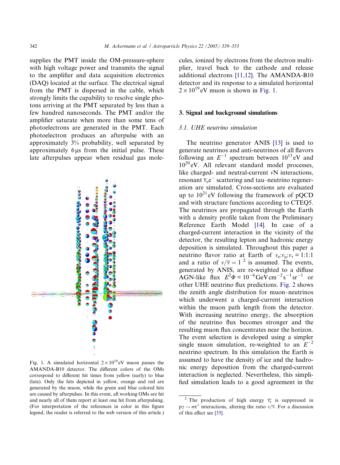supplies the PMT inside the OM-pressure-sphere with high voltage power and transmits the signal to the amplifier and data acquisition electronics (DAQ) located at the surface. The electrical signal from the PMT is dispersed in the cable, which strongly limits the capability to resolve single photons arriving at the PMT separated by less than a few hundred nanoseconds. The PMT and/or the amplifier saturate when more than some tens of photoelectrons are generated in the PMT. Each photoelectron produces an afterpulse with an approximately 3% probability, well separated by approximately  $6\mu s$  from the initial pulse. These late afterpulses appear when residual gas mole-



Fig. 1. A simulated horizontal  $2 \times 10^{19}$  eV muon passes the AMANDA-B10 detector. The different colors of the OMs correspond to different hit times from yellow (early) to blue (late). Only the hits depicted in yellow, orange and red are generated by the muon, while the green and blue colored hits are caused by afterpulses. In this event, all working OMs are hit and nearly all of them report at least one hit from afterpulsing. (For interpretation of the references in color in this figure legend, the reader is referred to the web version of this article.)

cules, ionized by electrons from the electron multiplier, travel back to the cathode and release additional electrons [\[11,12\].](#page-14-0) The AMANDA-B10 detector and its response to a simulated horizontal  $2 \times 10^{19}$  eV muon is shown in Fig. 1.

### 3. Signal and background simulations

### 3.1. UHE neutrino simulation

The neutrino generator ANIS [\[13\]](#page-14-0) is used to generate neutrinos and anti-neutrinos of all flavors following an  $E^{-1}$  spectrum between  $10^{13}$  eV and  $10^{20}$  eV. All relevant standard model processes, like charged- and neutral-current  $vN$  interactions, resonant  $\overline{v}_e e^-$  scattering and tau–neutrino regeneration are simulated. Cross-sections are evaluated up to  $10^{21}$  eV following the framework of pOCD and with structure functions according to CTEQ5. The neutrinos are propagated through the Earth with a density profile taken from the Preliminary Reference Earth Model [\[14\].](#page-14-0) In case of a charged-current interaction in the vicinity of the detector, the resulting lepton and hadronic energy deposition is simulated. Throughout this paper a neutrino flavor ratio at Earth of  $v_e$ : $v_u$ : $v_\tau$  = 1:1:1 and a ratio of  $v/\overline{v} = 1^2$  is assumed. The events, generated by ANIS, are re-weighted to a diffuse AGN-like flux  $E^2 \Phi = 10^{-6} \text{GeV} \text{ cm}^{-2} \text{s}^{-1} \text{ sr}^{-1}$  or other UHE neutrino flux predictions. [Fig. 2](#page-4-0) shows the zenith angle distribution for muon–neutrinos which underwent a charged-current interaction within the muon path length from the detector. With increasing neutrino energy, the absorption of the neutrino flux becomes stronger and the resulting muon flux concentrates near the horizon. The event selection is developed using a simpler single muon simulation, re-weighted to an  $E^{-2}$ neutrino spectrum. In this simulation the Earth is assumed to have the density of ice and the hadronic energy deposition from the charged-current interaction is neglected. Nevertheless, this simplified simulation leads to a good agreement in the

<sup>&</sup>lt;sup>2</sup> The production of high energy  $\overline{v_e}$  is suppressed in  $p\gamma \rightarrow n\pi^+$  interactions, altering the ratio  $v/\overline{v}$ . For a discussion of this effect see [\[35\]](#page-14-0).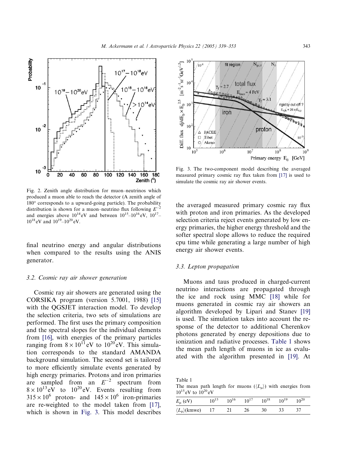<span id="page-4-0"></span>

Fig. 2. Zenith angle distribution for muon–neutrinos which produced a muon able to reach the detector (A zenith angle of  $180^\circ$  corresponds to a upward-going particle). The probability distribution is shown for a muon–neutrino flux following  $E^{-2}$ and energies above  $10^{14}$  eV and between  $10^{15}$ – $10^{16}$  eV,  $10^{17}$ –  $10^{18}$  eV and  $10^{19}$ – $10^{20}$  eV.

final neutrino energy and angular distributions when compared to the results using the ANIS generator.

### 3.2. Cosmic ray air shower generation

Cosmic ray air showers are generated using the CORSIKA program (version 5.7001, 1988) [\[15\]](#page-14-0) with the QGSJET interaction model. To develop the selection criteria, two sets of simulations are performed. The first uses the primary composition and the spectral slopes for the individual elements from [\[16\]](#page-14-0), with energies of the primary particles ranging from  $8 \times 10^{11}$  eV to  $10^{20}$  eV. This simulation corresponds to the standard AMANDA background simulation. The second set is tailored to more efficiently simulate events generated by high energy primaries. Protons and iron primaries are sampled from an  $E^{-2}$  spectrum from  $8 \times 10^{13}$  eV to  $10^{20}$  eV. Events resulting from  $315 \times 10^6$  proton- and  $145 \times 10^6$  iron-primaries are re-weighted to the model taken from [\[17\]](#page-14-0), which is shown in Fig. 3. This model describes



Fig. 3. The two-component model describing the averaged measured primary cosmic ray flux taken from [\[17\]](#page-14-0) is used to simulate the cosmic ray air shower events.

the averaged measured primary cosmic ray flux with proton and iron primaries. As the developed selection criteria reject events generated by low energy primaries, the higher energy threshold and the softer spectral slope allows to reduce the required cpu time while generating a large number of high energy air shower events.

### 3.3. Lepton propagation

Muons and taus produced in charged-current neutrino interactions are propagated through the ice and rock using MMC [\[18\]](#page-14-0) while for muons generated in cosmic ray air showers an algorithm developed by Lipari and Stanev [\[19\]](#page-14-0) is used. The simulation takes into account the response of the detector to additional Cherenkov photons generated by energy depositions due to ionization and radiative processes. Table 1 shows the mean path length of muons in ice as evaluated with the algorithm presented in [\[19\].](#page-14-0) At

Table 1 The mean path length for muons  $(\langle L_{\mu} \rangle)$  with energies from  $10^{15}$  eV to  $10^{20}$  eV

| 10 V U U U U U                   |           |                     |                     |           |
|----------------------------------|-----------|---------------------|---------------------|-----------|
| $E_{\mu}$ (eV)                   | $10^{15}$ | $10^{16}$ $10^{17}$ | $10^{18}$ $10^{19}$ | $10^{20}$ |
| $\langle L_{\mu} \rangle$ (kmwe) |           | 26                  | 30                  |           |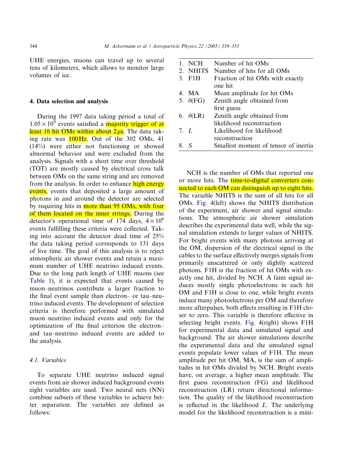UHE energies, muons can travel up to several tens of kilometers, which allows to monitor large volumes of ice.

### 4. Data selection and analysis

During the 1997 data taking period a total of  $1.05 \times 10^{9}$  events satisfied a **majority trigger of at** least 16 hit OMs within about  $2\mu s$ . The data taking rate was 100Hz. Out of the 302 OMs, 41 (14%) were either not functioning or showed abnormal behavior and were excluded from the analysis. Signals with a short time over threshold (TOT) are mostly caused by electrical cross talk between OMs on the same string and are removed from the analysis. In order to enhance high energy events, events that deposited a large amount of photons in and around the detector are selected by requiring hits in more than 95 OMs, with four of them located on the inner strings. During the detector's operational time of 174 days,  $4 \times 10^6$ events fulfilling these criteria were collected. Taking into account the detector dead time of 25% the data taking period corresponds to 131 days of live time. The goal of this analysis is to reject atmospheric air shower events and retain a maximum number of UHE neutrino induced events. Due to the long path length of UHE muons (see [Table 1\)](#page-4-0), it is expected that events caused by muon–neutrinos contribute a larger fraction to the final event sample than electron– or tau–neutrino induced events. The development of selection criteria is therefore performed with simulated muon–neutrino induced events and only for the optimization of the final criterion the electron– and tau–neutrino induced events are added to the analysis.

# 4.1. Variables

To separate UHE neutrino induced signal events from air shower induced background events eight variables are used. Two neural nets (NN) combine subsets of these variables to achieve better separation. The variables are defined as follows:

| 1.   | NCH             | Number of hit OMs                    |
|------|-----------------|--------------------------------------|
|      | 2. NHITS        | Number of hits for all OMs           |
|      | 3. F1H          | Fraction of hit OMs with exactly     |
|      |                 | one hit                              |
|      | 4. MA           | Mean amplitude for hit OMs           |
|      | 5. $\theta(FG)$ | Zenith angle obtained from           |
|      |                 | first guess                          |
| 6.   | $\theta$ (LR)   | Zenith angle obtained from           |
|      |                 | likelihood reconstruction            |
| 7. L |                 | Likelihood for likelihood            |
|      |                 | reconstruction                       |
| 8.   | S               | Smallest moment of tensor of inertia |

NCH is the number of OMs that reported one or more hits. The time-to-digital converters connected to each OM can distinguish up to eight hits. The variable NHITS is the sum of all hits for all OMs. [Fig. 4\(](#page-6-0)left) shows the NHITS distribution of the experiment, air shower and signal simulations. The atmospheric air shower simulation describes the experimental data well, while the signal simulation extends to larger values of NHITS. For bright events with many photons arriving at the OM, dispersion of the electrical signal in the cables to the surface effectively merges signals from primarily unscattered or only slightly scattered photons. F1H is the fraction of hit OMs with exactly one hit, divided by NCH. A faint signal induces mostly single photoelectrons in each hit OM and F1H is close to one, while bright events induce many photoelectrons per OM and therefore more afterpulses, both effects resulting in  $F1H$  closer to zero. This variable is therefore effective in selecting bright events. [Fig. 4](#page-6-0)(right) shows F1H for experimental data and simulated signal and background. The air shower simulations describe the experimental data and the simulated signal events populate lower values of F1H. The mean amplitude per hit OM, MA, is the sum of amplitudes in hit OMs divided by NCH. Bright events have, on average, a higher mean amplitude. The first guess reconstruction (FG) and likelihood reconstruction (LR) return directional information. The quality of the likelihood reconstruction is reflected in the likelihood  $L$ . The underlying model for the likelihood reconstruction is a mini-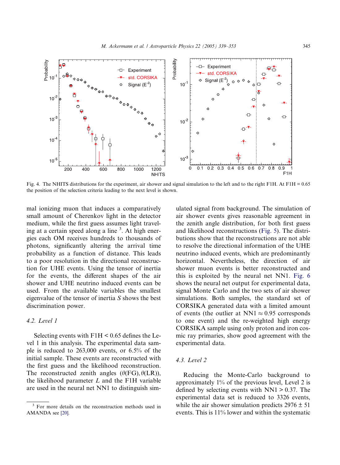<span id="page-6-0"></span>

Fig. 4. The NHITS distributions for the experiment, air shower and signal simulation to the left and to the right F1H. At F1H = 0.65 the position of the selection criteria leading to the next level is shown.

mal ionizing muon that induces a comparatively small amount of Cherenkov light in the detector medium, while the first guess assumes light traveling at a certain speed along a line  $3$ . At high energies each OM receives hundreds to thousands of photons, significantly altering the arrival time probability as a function of distance. This leads to a poor resolution in the directional reconstruction for UHE events. Using the tensor of inertia for the events, the different shapes of the air shower and UHE neutrino induced events can be used. From the available variables the smallest eigenvalue of the tensor of inertia S shows the best discrimination power.

# 4.2. Level 1

Selecting events with  $F1H \le 0.65$  defines the Level 1 in this analysis. The experimental data sample is reduced to 263,000 events, or 6.5% of the initial sample. These events are reconstructed with the first guess and the likelihood reconstruction. The reconstructed zenith angles  $(\theta(FG), \theta(LR))$ , the likelihood parameter  $L$  and the F1H variable are used in the neural net NN1 to distinguish simulated signal from background. The simulation of air shower events gives reasonable agreement in the zenith angle distribution, for both first guess and likelihood reconstructions [\(Fig. 5](#page-7-0)). The distributions show that the reconstructions are not able to resolve the directional information of the UHE neutrino induced events, which are predominantly horizontal. Nevertheless, the direction of air shower muon events is better reconstructed and this is exploited by the neural net NN1. [Fig. 6](#page-7-0) shows the neural net output for experimental data, signal Monte Carlo and the two sets of air shower simulations. Both samples, the standard set of CORSIKA generated data with a limited amount of events (the outlier at NN1  $\approx 0.95$  corresponds to one event) and the re-weighted high energy CORSIKA sample using only proton and iron cosmic ray primaries, show good agreement with the experimental data.

# 4.3. Level 2

Reducing the Monte-Carlo background to approximately 1% of the previous level, Level 2 is defined by selecting events with  $NN1 > 0.37$ . The experimental data set is reduced to 3326 events, while the air shower simulation predicts  $2976 \pm 51$ events. This is 11% lower and within the systematic

<sup>3</sup> For more details on the reconstruction methods used in AMANDA see [\[20\]](#page-14-0).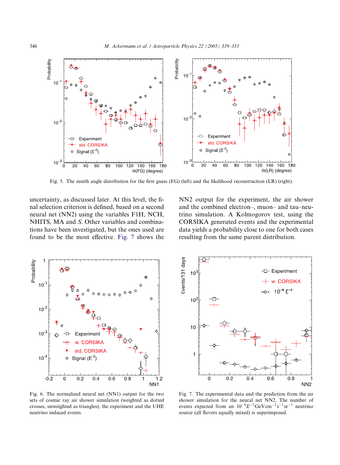<span id="page-7-0"></span>

Fig. 5. The zenith angle distribution for the first guess (FG) (left) and the likelihood reconstruction (LR) (right).

uncertainty, as discussed later. At this level, the final selection criterion is defined, based on a second neural net (NN2) using the variables F1H, NCH, NHITS, MA and S. Other variables and combinations have been investigated, but the ones used are found to be the most effective. Fig. 7 shows the NN2 output for the experiment, the air shower and the combined electron–, muon– and tau–neutrino simulation. A Kolmogorov test, using the CORSIKA generated events and the experimental data yields a probability close to one for both cases resulting from the same parent distribution.





Fig. 6. The normalized neural net (NN1) output for the two sets of cosmic ray air shower simulation (weighted as dotted crosses, unweighted as triangles), the experiment and the UHE neutrino induced events.

Fig. 7. The experimental data and the prediction from the air shower simulation for the neural net NN2. The number of events expected from an  $10^{-6}E^{-2}$ GeV cm<sup>-2</sup> s<sup>-1</sup> sr<sup>-1</sup> neutrino source (all flavors equally mixed) is superimposed.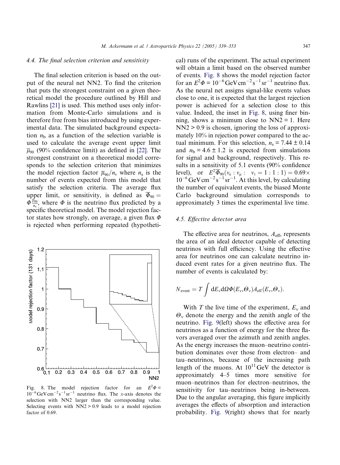# 4.4. The final selection criterion and sensitivity

The final selection criterion is based on the output of the neural net NN2. To find the criterion that puts the strongest constraint on a given theoretical model the procedure outlined by Hill and Rawlins [\[21\]](#page-14-0) is used. This method uses only information from Monte-Carlo simulations and is therefore free from bias introduced by using experimental data. The simulated background expectation  $n<sub>b</sub>$  as a function of the selection variable is used to calculate the average event upper limit  $\overline{\mu}_{90}$  (90% confidence limit) as defined in [\[22\].](#page-14-0) The strongest constraint on a theoretical model corresponds to the selection criterion that minimizes the model rejection factor  $\overline{\mu}_{90}/n_s$  where  $n_s$  is the number of events expected from this model that satisfy the selection criteria. The average flux upper limit, or sensitivity, is defined as  $\overline{\Phi}_{90} =$  $\Phi_{\frac{\overline{\mu}_{90}}{n_s}}$ , where  $\Phi$  is the neutrino flux predicted by a specific theoretical model. The model rejection factor states how strongly, on average, a given flux  $\Phi$ is rejected when performing repeated (hypotheti-



Fig. 8. The model rejection factor for an  $E^2\Phi =$  $10^{-6}$  GeV cm<sup>-2</sup>s<sup>-1</sup> sr<sup>-1</sup> neutrino flux. The x-axis denotes the selection with NN2 larger than the corresponding value. Selecting events with NN2 > 0.9 leads to a model rejection factor of 0.69.

cal) runs of the experiment. The actual experiment will obtain a limit based on the observed number of events. Fig. 8 shows the model rejection factor for an  $E^2 \Phi = 10^{-6} \text{GeV cm}^{-2} \text{s}^{-1} \text{sr}^{-1}$  neutrino flux. As the neural net assigns signal-like events values close to one, it is expected that the largest rejection power is achieved for a selection close to this value. Indeed, the inset in Fig. 8, using finer binning, shows a minimum close to  $NN2 = 1$ . Here NN2 > 0.9 is chosen, ignoring the loss of approximately 10% in rejection power compared to the actual minimum. For this selection,  $n_s = 7.44 \pm 0.14$ and  $n_b = 4.6 \pm 1.2$  is expected from simulations for signal and background, respectively. This results in a sensitivity of 5.1 events (90% confidence level), or  $E^2 \overline{\Phi}_{90}(v_e : v_\mu : v_\tau = 1 : 1 : 1) = 0.69 \times$  $10^{-6}$  GeV cm<sup>-2</sup>s<sup>-1</sup> sr<sup>-1</sup>. At this level, by calculating the number of equivalent events, the biased Monte Carlo background simulation corresponds to approximately 3 times the experimental live time.

# 4.5. Effective detector area

The effective area for neutrinos,  $A_{\text{eff}}$ , represents the area of an ideal detector capable of detecting neutrinos with full efficiency. Using the effective area for neutrinos one can calculate neutrino induced event rates for a given neutrino flux. The number of events is calculated by:

$$
N_{\text{event}} = T \int dE_{\text{v}} d\Omega \Phi(E_{\text{v}}, \Theta_{\text{v}}) A_{\text{eff}}(E_{\text{v}}, \Theta_{\text{v}}).
$$

With T the live time of the experiment,  $E_v$  and  $\Theta_{v}$  denote the energy and the zenith angle of the neutrino. [Fig. 9](#page-9-0)(left) shows the effective area for neutrinos as a function of energy for the three flavors averaged over the azimuth and zenith angles. As the energy increases the muon–neutrino contribution dominates over those from electron– and tau–neutrinos, because of the increasing path length of the muons. At  $10^{11}$  GeV the detector is approximately 4–5 times more sensitive for muon–neutrinos than for electron–neutrinos, the sensitivity for tau–neutrinos being in-between. Due to the angular averaging, this figure implicitly averages the effects of absorption and interaction probability. [Fig. 9\(](#page-9-0)right) shows that for nearly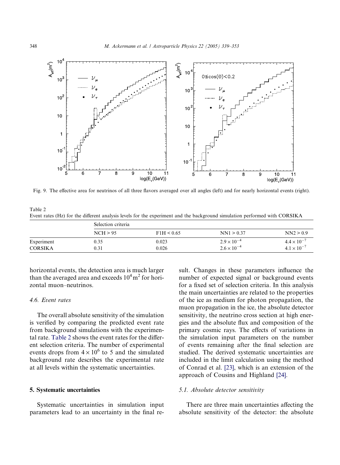<span id="page-9-0"></span>

Fig. 9. The effective area for neutrinos of all three flavors averaged over all angles (left) and for nearly horizontal events (right).

| Table 2 |                                                                                                                            |
|---------|----------------------------------------------------------------------------------------------------------------------------|
|         | Event rates (Hz) for the different analysis levels for the experiment and the background simulation performed with CORSIKA |

|                | Selection criteria |            |                      |                      |
|----------------|--------------------|------------|----------------------|----------------------|
|                | NCH > 95           | F1H < 0.65 | NN1 > 0.37           | NN2 > 0.9            |
| Experiment     | 0.35               | 0.023      | $2.9 \times 10^{-4}$ | $4.4 \times 10^{-7}$ |
| <b>CORSIKA</b> | $_{0.31}$          | 0.026      | $2.6 \times 10^{-4}$ | $4.1 \times 10^{-7}$ |

horizontal events, the detection area is much larger than the averaged area and exceeds  $10^4$  m<sup>2</sup> for horizontal muon–neutrinos.

# 4.6. Event rates

The overall absolute sensitivity of the simulation is verified by comparing the predicted event rate from background simulations with the experimental rate. Table 2 shows the event rates for the different selection criteria. The number of experimental events drops from  $4 \times 10^6$  to 5 and the simulated background rate describes the experimental rate at all levels within the systematic uncertainties.

### 5. Systematic uncertainties

Systematic uncertainties in simulation input parameters lead to an uncertainty in the final result. Changes in these parameters influence the number of expected signal or background events for a fixed set of selection criteria. In this analysis the main uncertainties are related to the properties of the ice as medium for photon propagation, the muon propagation in the ice, the absolute detector sensitivity, the neutrino cross section at high energies and the absolute flux and composition of the primary cosmic rays. The effects of variations in the simulation input parameters on the number of events remaining after the final selection are studied. The derived systematic uncertainties are included in the limit calculation using the method of Conrad et al. [\[23\],](#page-14-0) which is an extension of the approach of Cousins and Highland [\[24\].](#page-14-0)

### 5.1. Absolute detector sensitivity

There are three main uncertainties affecting the absolute sensitivity of the detector: the absolute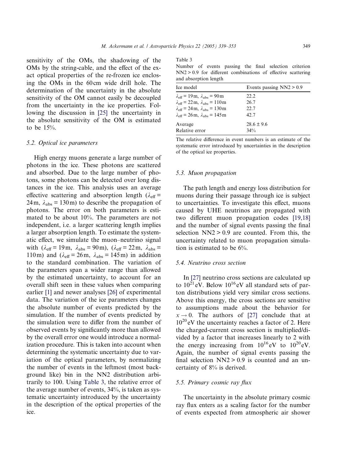sensitivity of the OMs, the shadowing of the OMs by the string-cable, and the effect of the exact optical properties of the re-frozen ice enclosing the OMs in the 60 cm wide drill hole. The determination of the uncertainty in the absolute sensitivity of the OM cannot easily be decoupled from the uncertainty in the ice properties. Following the discussion in [\[25\]](#page-14-0) the uncertainty in the absolute sensitivity of the OM is estimated to be 15%.

# 5.2. Optical ice parameters

High energy muons generate a large number of photons in the ice. These photons are scattered and absorbed. Due to the large number of photons, some photons can be detected over long distances in the ice. This analysis uses an average effective scattering and absorption length ( $\lambda_{\text{eff}}$  = 24m,  $\lambda_{\text{abs}} = 130 \,\text{m}$  to describe the propagation of photons. The error on both parameters is estimated to be about 10%. The parameters are not independent, i.e. a larger scattering length implies a larger absorption length. To estimate the systematic effect, we simulate the muon–neutrino signal with  $(\lambda_{\text{eff}} = 19 \text{ m}, \lambda_{\text{abs}} = 90 \text{ m}), (\lambda_{\text{eff}} = 22 \text{ m}, \lambda_{\text{abs}} =$ 110m) and  $(\lambda_{\text{eff}} = 26 \text{m}, \lambda_{\text{abs}} = 145 \text{m})$  in addition to the standard combination. The variation of the parameters span a wider range than allowed by the estimated uncertainty, to account for an overall shift seen in these values when comparing earlier [\[1\]](#page-14-0) and newer analyses [\[26\]](#page-14-0) of experimental data. The variation of the ice parameters changes the absolute number of events predicted by the simulation. If the number of events predicted by the simulation were to differ from the number of observed events by significantly more than allowed by the overall error one would introduce a normalization procedure. This is taken into account when determining the systematic uncertainty due to variation of the optical parameters, by normalizing the number of events in the leftmost (most background like) bin in the NN2 distribution arbitrarily to 100. Using Table 3, the relative error of the average number of events, 34%, is taken as systematic uncertainty introduced by the uncertainty in the description of the optical properties of the ice.

Table 3

Number of events passing the final selection criterion NN2 > 0.9 for different combinations of effective scattering and absorption length

| Ice model                                                                        | Events passing $NN2 > 0.9$ |
|----------------------------------------------------------------------------------|----------------------------|
| $\lambda_{\text{eff}} = 19 \,\text{m}$ , $\lambda_{\text{abs}} = 90 \,\text{m}$  | 22.2                       |
| $\lambda_{\text{eff}}$ = 22 m, $\lambda_{\text{abs}}$ = 110 m                    | 26.7                       |
| $\lambda_{\text{eff}}$ = 24 m, $\lambda_{\text{abs}}$ = 130 m                    | 22.7                       |
| $\lambda_{\text{eff}} = 26 \,\text{m}$ , $\lambda_{\text{abs}} = 145 \,\text{m}$ | 42.7                       |
| Average                                                                          | $28.6 \pm 9.6$             |
| Relative error                                                                   | 34%                        |

The relative difference in event numbers is an estimate of the systematic error introduced by uncertainties in the description of the optical ice properties.

#### 5.3. Muon propagation

The path length and energy loss distribution for muons during their passage through ice is subject to uncertainties. To investigate this effect, muons caused by UHE neutrinos are propagated with two different muon propagation codes [\[19,18\]](#page-14-0) and the number of signal events passing the final selection  $NN2 > 0.9$  are counted. From this, the uncertainty related to muon propagation simulation is estimated to be 6%.

### 5.4. Neutrino cross section

In [\[27\]](#page-14-0) neutrino cross sections are calculated up to  $10^{21}$  eV. Below  $10^{16}$  eV all standard sets of parton distributions yield very similar cross sections. Above this energy, the cross sections are sensitive to assumptions made about the behavior for  $x \rightarrow 0$ . The authors of [\[27\]](#page-14-0) conclude that at  $10^{20}$  eV the uncertainty reaches a factor of 2. Here the charged-current cross section is multiplied/divided by a factor that increases linearly to 2 with the energy increasing from  $10^{16}$  eV to  $10^{20}$  eV. Again, the number of signal events passing the final selection  $NN2 > 0.9$  is counted and an uncertainty of 8% is derived.

### 5.5. Primary cosmic ray flux

The uncertainty in the absolute primary cosmic ray flux enters as a scaling factor for the number of events expected from atmospheric air shower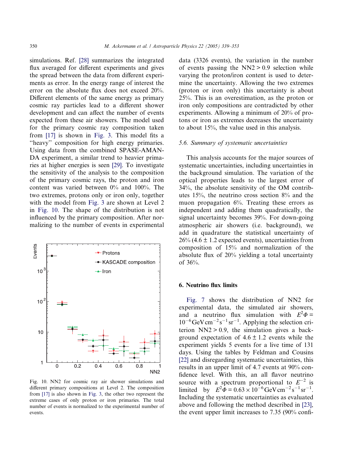simulations. Ref. [\[28\]](#page-14-0) summarizes the integrated flux averaged for different experiments and gives the spread between the data from different experiments as error. In the energy range of interest the error on the absolute flux does not exceed 20%. Different elements of the same energy as primary cosmic ray particles lead to a different shower development and can affect the number of events expected from these air showers. The model used for the primary cosmic ray composition taken from [\[17\]](#page-14-0) is shown in [Fig. 3.](#page-4-0) This model fits a ''heavy'' composition for high energy primaries. Using data from the combined SPASE-AMAN-DA experiment, a similar trend to heavier primaries at higher energies is seen [\[29\].](#page-14-0) To investigate the sensitivity of the analysis to the composition of the primary cosmic rays, the proton and iron content was varied between 0% and 100%. The two extremes, protons only or iron only, together with the model from [Fig. 3](#page-4-0) are shown at Level 2 in Fig. 10. The shape of the distribution is not influenced by the primary composition. After normalizing to the number of events in experimental



Fig. 10. NN2 for cosmic ray air shower simulations and different primary compositions at Level 2. The composition from [\[17\]](#page-14-0) is also shown in [Fig. 3](#page-4-0), the other two represent the extreme cases of only proton or iron primaries. The total number of events is normalized to the experimental number of events.

data (3326 events), the variation in the number of events passing the  $NN2 > 0.9$  selection while varying the proton/iron content is used to determine the uncertainty. Allowing the two extremes (proton or iron only) this uncertainty is about 25%. This is an overestimation, as the proton or iron only compositions are contradicted by other experiments. Allowing a minimum of 20% of protons or iron as extremes decreases the uncertainty to about 15%, the value used in this analysis.

### 5.6. Summary of systematic uncertainties

This analysis accounts for the major sources of systematic uncertainties, including uncertainties in the background simulation. The variation of the optical properties leads to the largest error of 34%, the absolute sensitivity of the OM contributes 15%, the neutrino cross section 8% and the muon propagation 6%. Treating these errors as independent and adding them quadratically, the signal uncertainty becomes 39%. For down-going atmospheric air showers (i.e. background), we add in quadrature the statistical uncertainty of  $26\%$  (4.6  $\pm$  1.2 expected events), uncertainties from composition of 15% and normalization of the absolute flux of 20% yielding a total uncertainty of 36%.

### 6. Neutrino flux limits

[Fig. 7](#page-7-0) shows the distribution of NN2 for experimental data, the simulated air showers, and a neutrino flux simulation with  $E^2 \Phi =$  $10^{-6}$  GeV cm<sup>-2</sup>s<sup>-1</sup>sr<sup>-1</sup>. Applying the selection criterion  $NN2 > 0.9$ , the simulation gives a background expectation of  $4.6 \pm 1.2$  events while the experiment yields 5 events for a live time of 131 days. Using the tables by Feldman and Cousins [\[22\]](#page-14-0) and disregarding systematic uncertainties, this results in an upper limit of 4.7 events at 90% confidence level. With this, an all flavor neutrino source with a spectrum proportional to  $E^{-2}$  is limited by  $E^2 \bar{\Phi} = 0.63 \times 10^{-6} \text{GeV cm}^{-2} \text{s}^{-1} \text{sr}^{-1}$ . Including the systematic uncertainties as evaluated above and following the method described in [\[23\]](#page-14-0), the event upper limit increases to 7.35 (90% confi-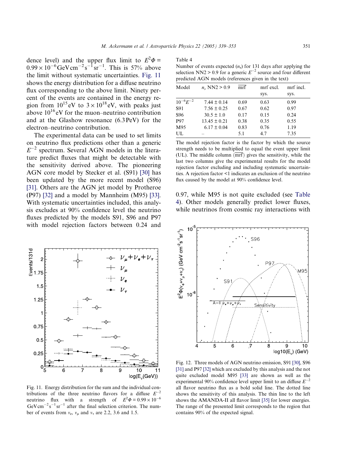<span id="page-12-0"></span>dence level) and the upper flux limit to  $E^2 \Phi =$  $0.99 \times 10^{-6}$  GeV cm<sup>-2</sup>s<sup>-1</sup> sr<sup>-1</sup>. This is 57% above the limit without systematic uncertainties. Fig. 11 shows the energy distribution for a diffuse neutrino flux corresponding to the above limit. Ninety percent of the events are contained in the energy region from  $10^{15}$ eV to  $3 \times 10^{18}$ eV, with peaks just above  $10^{16}$  eV for the muon–neutrino contribution and at the Glashow resonance (6.3 PeV) for the electron–neutrino contribution.

The experimental data can be used to set limits on neutrino flux predictions other than a generic  $E^{-2}$  spectrum. Several AGN models in the literature predict fluxes that might be detectable with the sensitivity derived above. The pioneering AGN core model by Stecker et al. (S91) [\[30\]](#page-14-0) has been updated by the more recent model (S96) [\[31\].](#page-14-0) Others are the AGN jet model by Protheroe (P97) [\[32\]](#page-14-0) and a model by Mannheim (M95) [\[33\]](#page-14-0). With systematic uncertainties included, this analysis excludes at 90% confidence level the neutrino fluxes predicted by the models S91, S96 and P97 with model rejection factors between 0.24 and



Fig. 11. Energy distribution for the sum and the individual contributions of the three neutrino flavors for a diffuse  $E^$ neutrino flux with a strength of  $E^2 \Phi = 0.99 \times 10^{-6}$  $GeV \text{ cm}^{-2} \text{s}^{-1} \text{ sr}^{-1}$  after the final selection criterion. The number of events from  $v_e$ ,  $v_\mu$  and  $v_\tau$  are 2.2, 3.6 and 1.5.

Table 4

Number of events expected  $(n<sub>s</sub>)$  for 131 days after applying the selection NN2 > 0.9 for a generic  $E^{-2}$  source and four different predicted AGN models (references given in the text)

| Model           | $n_e$ NN2 > 0.9  | mrf  | mrf excl.<br>SVS. | mrf incl.<br>SVS. |
|-----------------|------------------|------|-------------------|-------------------|
| $10^{-6}E^{-2}$ | $7.44 \pm 0.14$  | 0.69 | 0.63              | 0.99              |
| S91             | $7.56 \pm 0.25$  | 0.67 | 0.62              | 0.97              |
| S96             | $30.5 \pm 1.0$   | 0.17 | 0.15              | 0.24              |
| P97             | $13.45 \pm 0.21$ | 0.38 | 0.35              | 0.55              |
| M95             | $6.17 \pm 0.04$  | 0.83 | 0.76              | 1.19              |
| UL.             |                  | 51   | 47                | 735               |

The model rejection factor is the factor by which the source strength needs to be multiplied to equal the event upper limit (UL). The middle column  $(mrf)$  gives the sensitivity, while the last two columns give the experimental results for the model rejection factor excluding and including systematic uncertainties. A rejection factor <1 indicates an exclusion of the neutrino flux caused by the model at 90% confidence level.

0.97, while M95 is not quite excluded (see Table 4). Other models generally predict lower fluxes, while neutrinos from cosmic ray interactions with



Fig. 12. Three models of AGN neutrino emission, S91 [\[30\]](#page-14-0), S96 [\[31\]](#page-14-0) and P97 [\[32\]](#page-14-0) which are excluded by this analysis and the not quite excluded model M95 [\[33\]](#page-14-0) are shown as well as the experimental 90% confidence level upper limit to an diffuse  $E^{-2}$ all flavor neutrino flux as a bold solid line. The dotted line shows the sensitivity of this analysis. The thin line to the left shows the AMANDA-II all flavor limit [\[35\]](#page-14-0) for lower energies. The range of the presented limit corresponds to the region that contains 90% of the expected signal.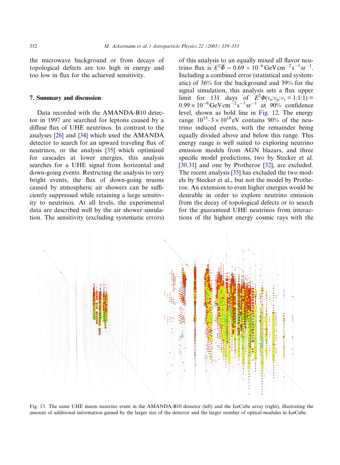<span id="page-13-0"></span>the microwave background or from decays of topological defects are too high in energy and too low in flux for the achieved sensitivity.

### 7. Summary and discussion

Data recorded with the AMANDA-B10 detector in 1997 are searched for leptons caused by a diffuse flux of UHE neutrinos. In contrast to the analyses [\[26\]](#page-14-0) and [\[34\]](#page-14-0) which used the AMANDA detector to search for an upward traveling flux of neutrinos, or the analysis [\[35\]](#page-14-0) which optimized for cascades at lower energies, this analysis searches for a UHE signal from horizontal and down-going events. Restricting the analysis to very bright events, the flux of down-going muons caused by atmospheric air showers can be sufficiently suppressed while retaining a large sensitivity to neutrinos. At all levels, the experimental data are described well by the air shower simulation. The sensitivity (excluding systematic errors)

of this analysis to an equally mixed all flavor neutrino flux is  $E^2 \overline{\Phi} = 0.69 \times 10^{-6} \text{ GeV cm}^{-2} \text{s}^{-1} \text{ sr}^{-1}$ . Including a combined error (statistical and systematic) of 36% for the background and 39% for the signal simulation, this analysis sets a flux upper limit for 131 days of  $E^2 \Phi(v_e: v_\mu: v_\tau = 1:1:1) =$  $0.99 \times 10^{-6}$  GeV cm<sup>-2</sup>s<sup>-1</sup> sr<sup>-1</sup> at 90% confidence level, shown as bold line in [Fig. 12.](#page-12-0) The energy range  $10^{15}$ –3 ×  $10^{18}$  eV contains 90% of the neutrino induced events, with the remainder being equally divided above and below this range. This energy range is well suited to exploring neutrino emission models from AGN blazars, and three specific model predictions, two by Stecker et al. [\[30,31\]](#page-14-0) and one by Protheroe [\[32\],](#page-14-0) are excluded. The recent analysis [\[35\]](#page-14-0) has excluded the two models by Stecker et al., but not the model by Protheroe. An extension to even higher energies would be desirable in order to explore neutrino emission from the decay of topological defects or to search for the guaranteed UHE neutrinos from interactions of the highest energy cosmic rays with the



Fig. 13. The same UHE muon–neutrino event in the AMANDA-B10 detector (left) and the IceCube array (right), illustrating the amount of additional information gained by the larger size of the detector and the larger number of optical modules in IceCube.